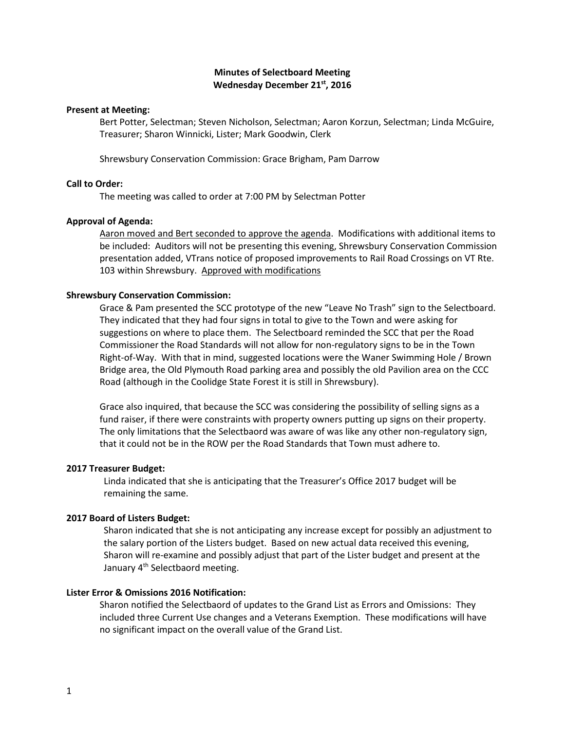# **Minutes of Selectboard Meeting Wednesday December 21st, 2016**

## **Present at Meeting:**

Bert Potter, Selectman; Steven Nicholson, Selectman; Aaron Korzun, Selectman; Linda McGuire, Treasurer; Sharon Winnicki, Lister; Mark Goodwin, Clerk

Shrewsbury Conservation Commission: Grace Brigham, Pam Darrow

# **Call to Order:**

The meeting was called to order at 7:00 PM by Selectman Potter

### **Approval of Agenda:**

Aaron moved and Bert seconded to approve the agenda. Modifications with additional items to be included: Auditors will not be presenting this evening, Shrewsbury Conservation Commission presentation added, VTrans notice of proposed improvements to Rail Road Crossings on VT Rte. 103 within Shrewsbury. Approved with modifications

## **Shrewsbury Conservation Commission:**

Grace & Pam presented the SCC prototype of the new "Leave No Trash" sign to the Selectboard. They indicated that they had four signs in total to give to the Town and were asking for suggestions on where to place them. The Selectboard reminded the SCC that per the Road Commissioner the Road Standards will not allow for non-regulatory signs to be in the Town Right-of-Way. With that in mind, suggested locations were the Waner Swimming Hole / Brown Bridge area, the Old Plymouth Road parking area and possibly the old Pavilion area on the CCC Road (although in the Coolidge State Forest it is still in Shrewsbury).

Grace also inquired, that because the SCC was considering the possibility of selling signs as a fund raiser, if there were constraints with property owners putting up signs on their property. The only limitations that the Selectbaord was aware of was like any other non-regulatory sign, that it could not be in the ROW per the Road Standards that Town must adhere to.

### **2017 Treasurer Budget:**

Linda indicated that she is anticipating that the Treasurer's Office 2017 budget will be remaining the same.

## **2017 Board of Listers Budget:**

Sharon indicated that she is not anticipating any increase except for possibly an adjustment to the salary portion of the Listers budget. Based on new actual data received this evening, Sharon will re-examine and possibly adjust that part of the Lister budget and present at the January 4<sup>th</sup> Selectbaord meeting.

# **Lister Error & Omissions 2016 Notification:**

Sharon notified the Selectbaord of updates to the Grand List as Errors and Omissions: They included three Current Use changes and a Veterans Exemption. These modifications will have no significant impact on the overall value of the Grand List.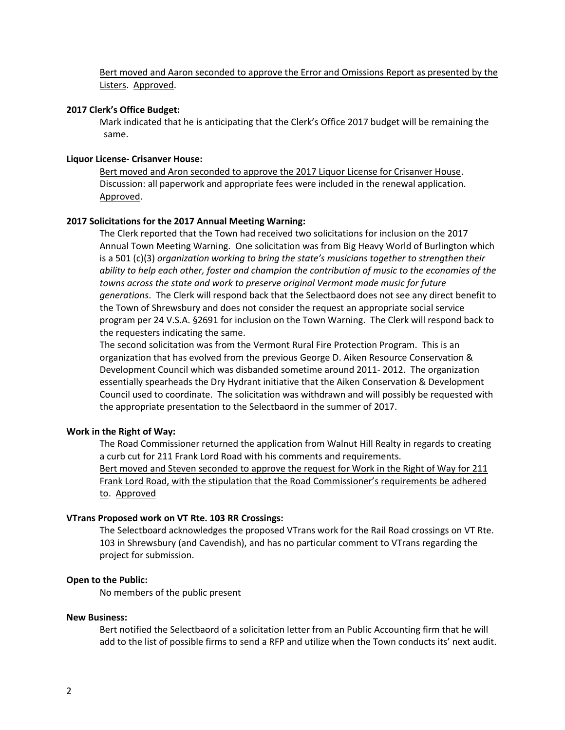Bert moved and Aaron seconded to approve the Error and Omissions Report as presented by the Listers. Approved.

### **2017 Clerk's Office Budget:**

Mark indicated that he is anticipating that the Clerk's Office 2017 budget will be remaining the same.

## **Liquor License- Crisanver House:**

Bert moved and Aron seconded to approve the 2017 Liquor License for Crisanver House. Discussion: all paperwork and appropriate fees were included in the renewal application. Approved.

### **2017 Solicitations for the 2017 Annual Meeting Warning:**

The Clerk reported that the Town had received two solicitations for inclusion on the 2017 Annual Town Meeting Warning. One solicitation was from Big Heavy World of Burlington which is a 501 (c)(3) *organization working to bring the state's musicians together to strengthen their ability to help each other, foster and champion the contribution of music to the economies of the towns across the state and work to preserve original Vermont made music for future generations*. The Clerk will respond back that the Selectbaord does not see any direct benefit to the Town of Shrewsbury and does not consider the request an appropriate social service program per 24 V.S.A. §2691 for inclusion on the Town Warning. The Clerk will respond back to the requesters indicating the same.

The second solicitation was from the Vermont Rural Fire Protection Program. This is an organization that has evolved from the previous George D. Aiken Resource Conservation & Development Council which was disbanded sometime around 2011- 2012. The organization essentially spearheads the Dry Hydrant initiative that the Aiken Conservation & Development Council used to coordinate. The solicitation was withdrawn and will possibly be requested with the appropriate presentation to the Selectbaord in the summer of 2017.

## **Work in the Right of Way:**

The Road Commissioner returned the application from Walnut Hill Realty in regards to creating a curb cut for 211 Frank Lord Road with his comments and requirements. Bert moved and Steven seconded to approve the request for Work in the Right of Way for 211 Frank Lord Road, with the stipulation that the Road Commissioner's requirements be adhered to. Approved

# **VTrans Proposed work on VT Rte. 103 RR Crossings:**

The Selectboard acknowledges the proposed VTrans work for the Rail Road crossings on VT Rte. 103 in Shrewsbury (and Cavendish), and has no particular comment to VTrans regarding the project for submission.

## **Open to the Public:**

No members of the public present

### **New Business:**

Bert notified the Selectbaord of a solicitation letter from an Public Accounting firm that he will add to the list of possible firms to send a RFP and utilize when the Town conducts its' next audit.